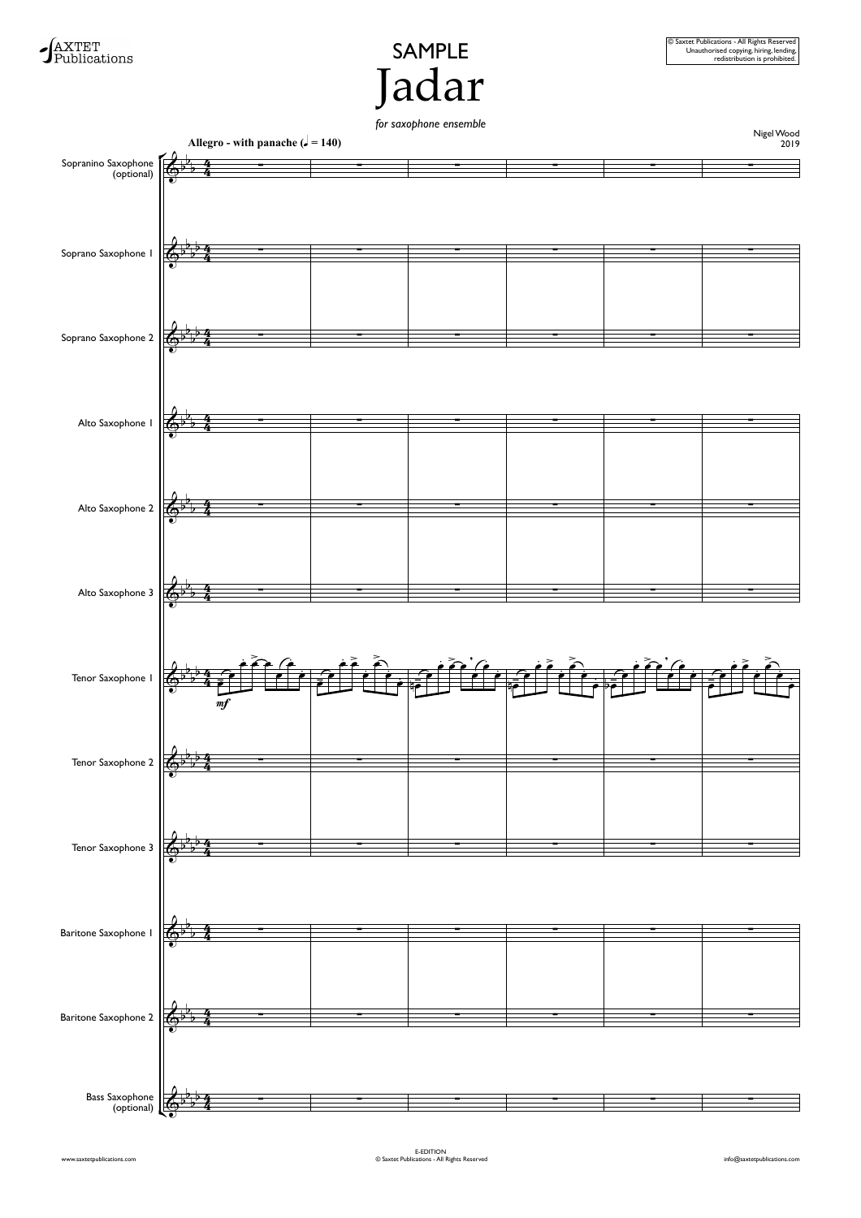

© Saxtet Publications - All Rights Reserved<br>Unauthorised copying, hiring, lending,<br>redistribution is prohibited.

*for saxophone ensemble*

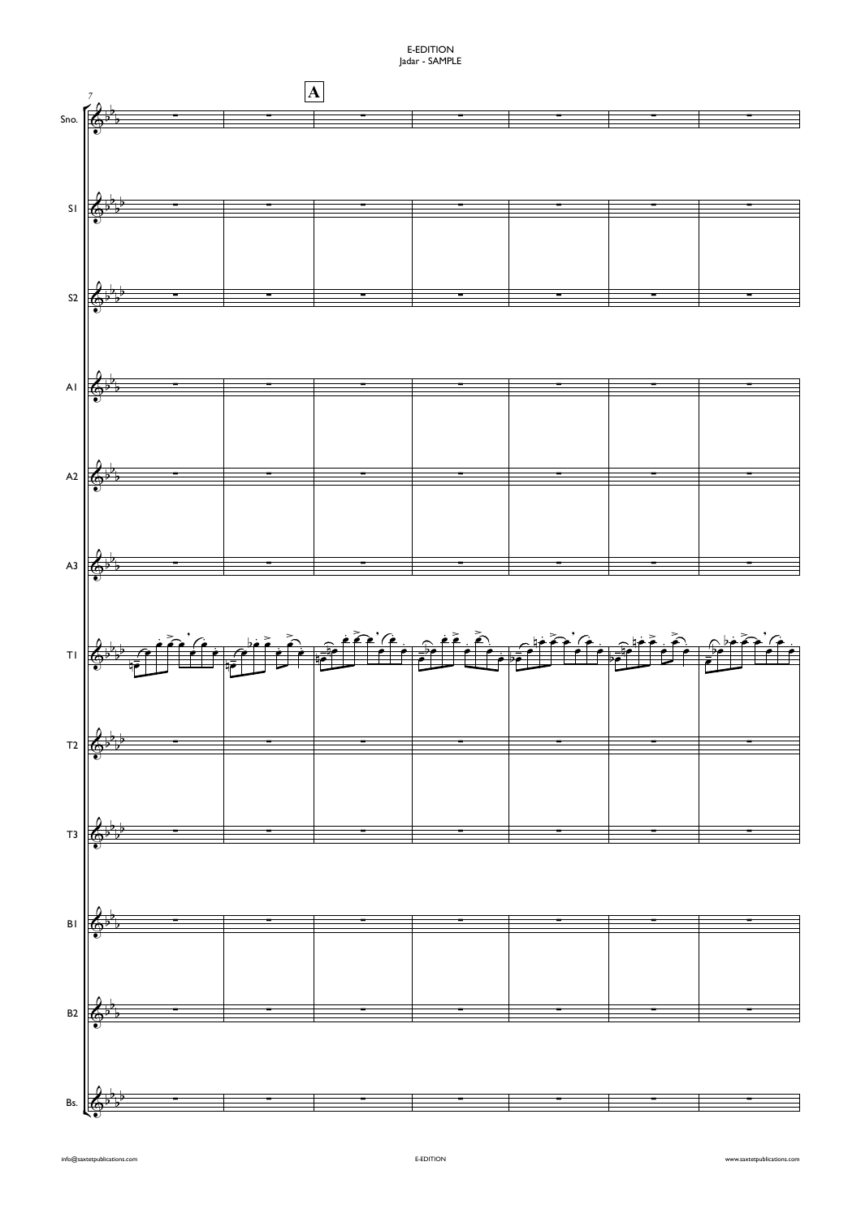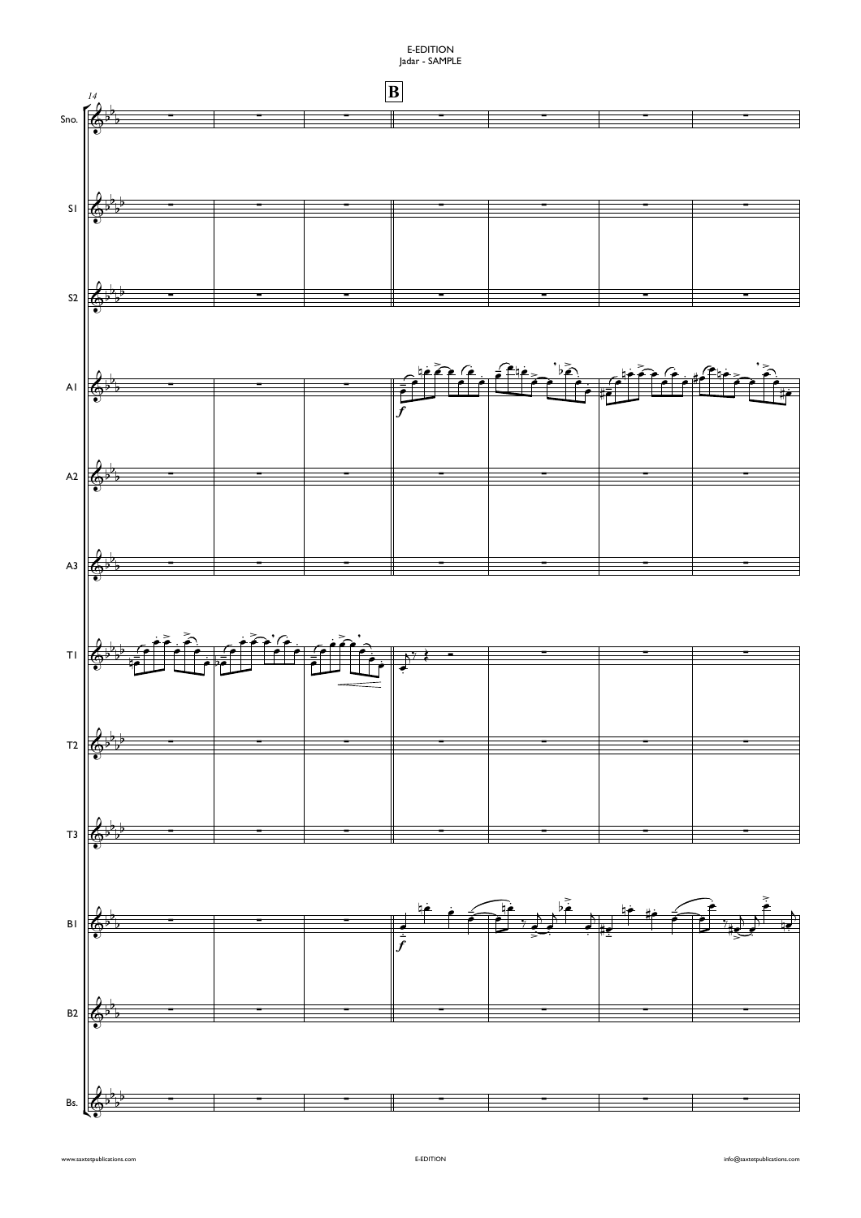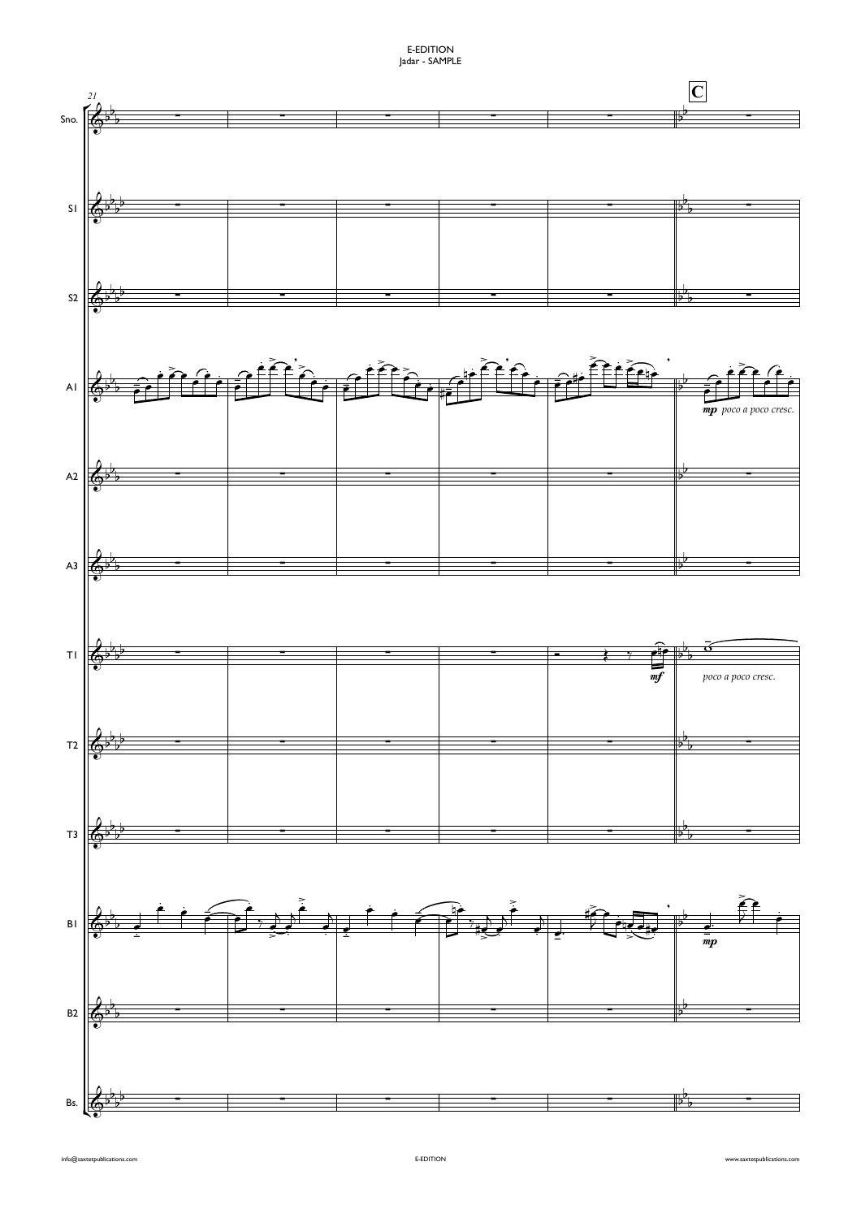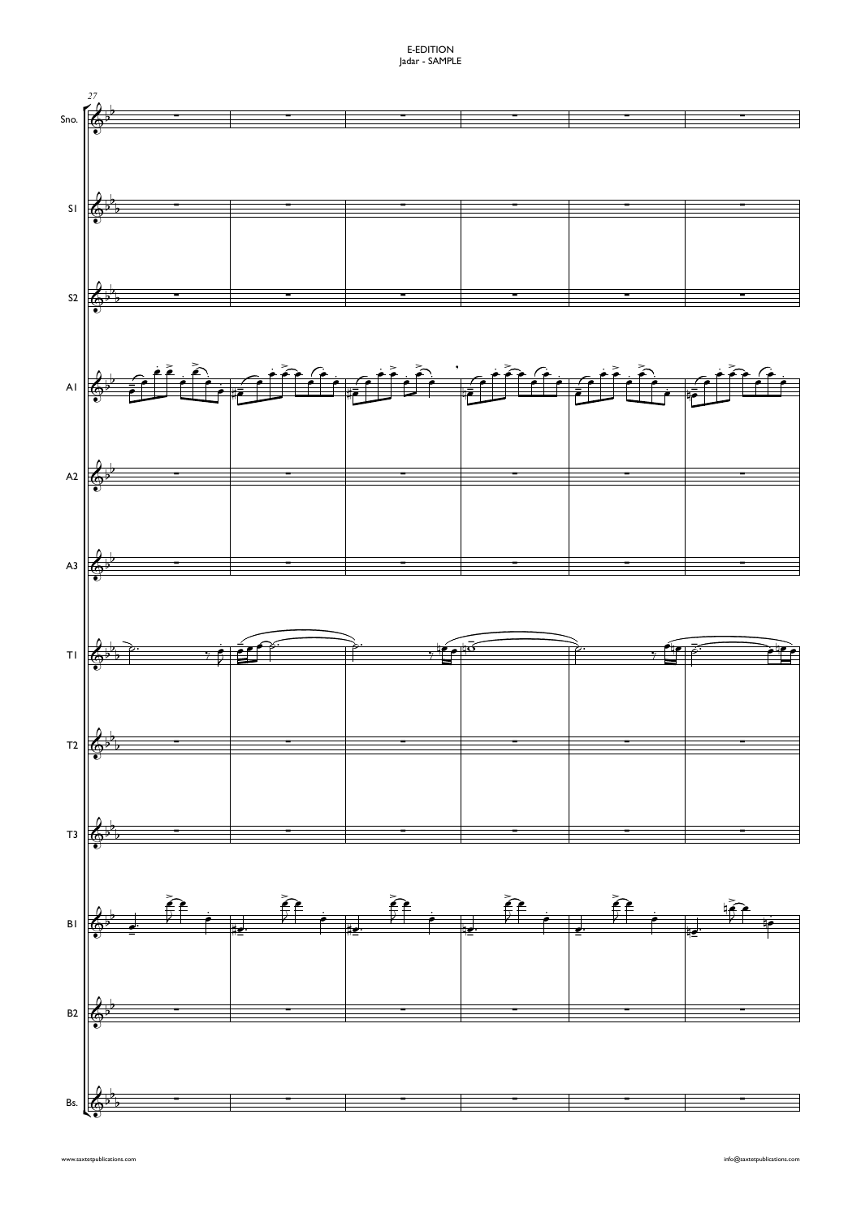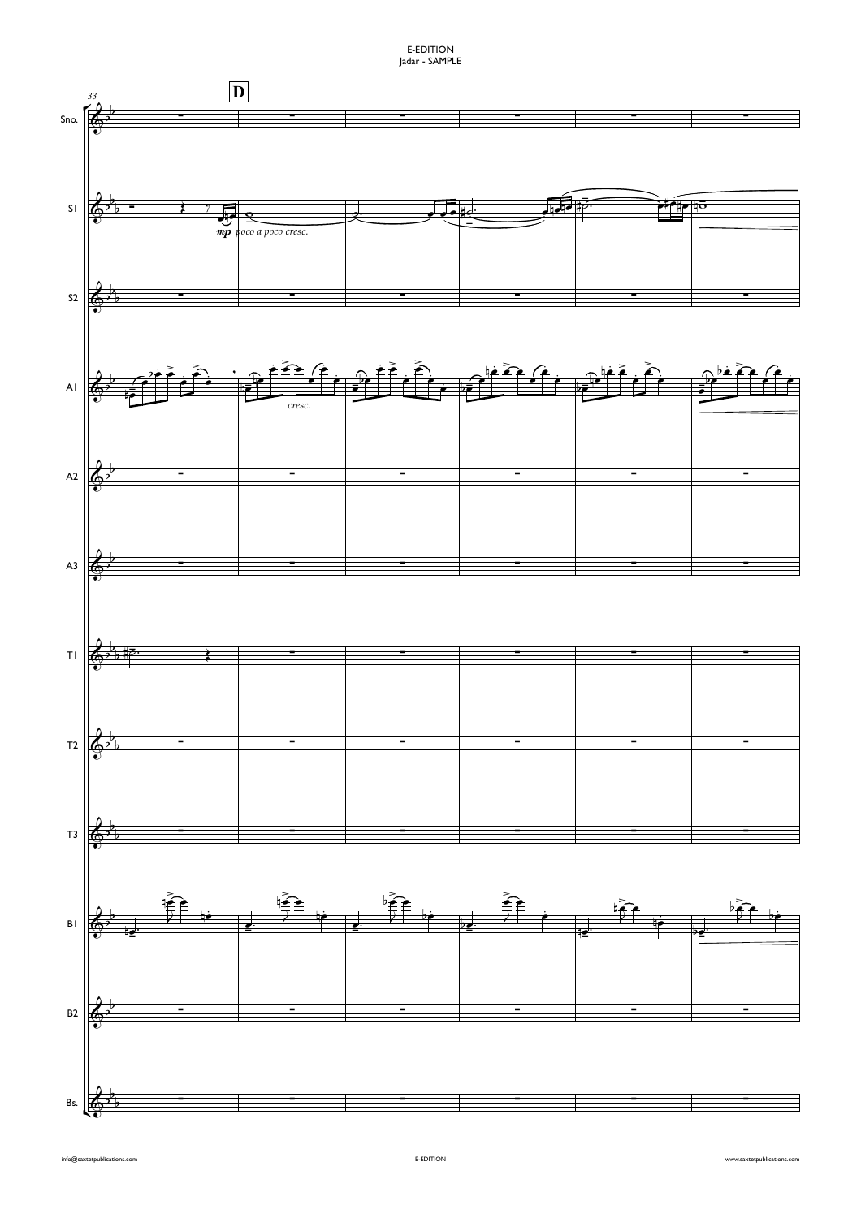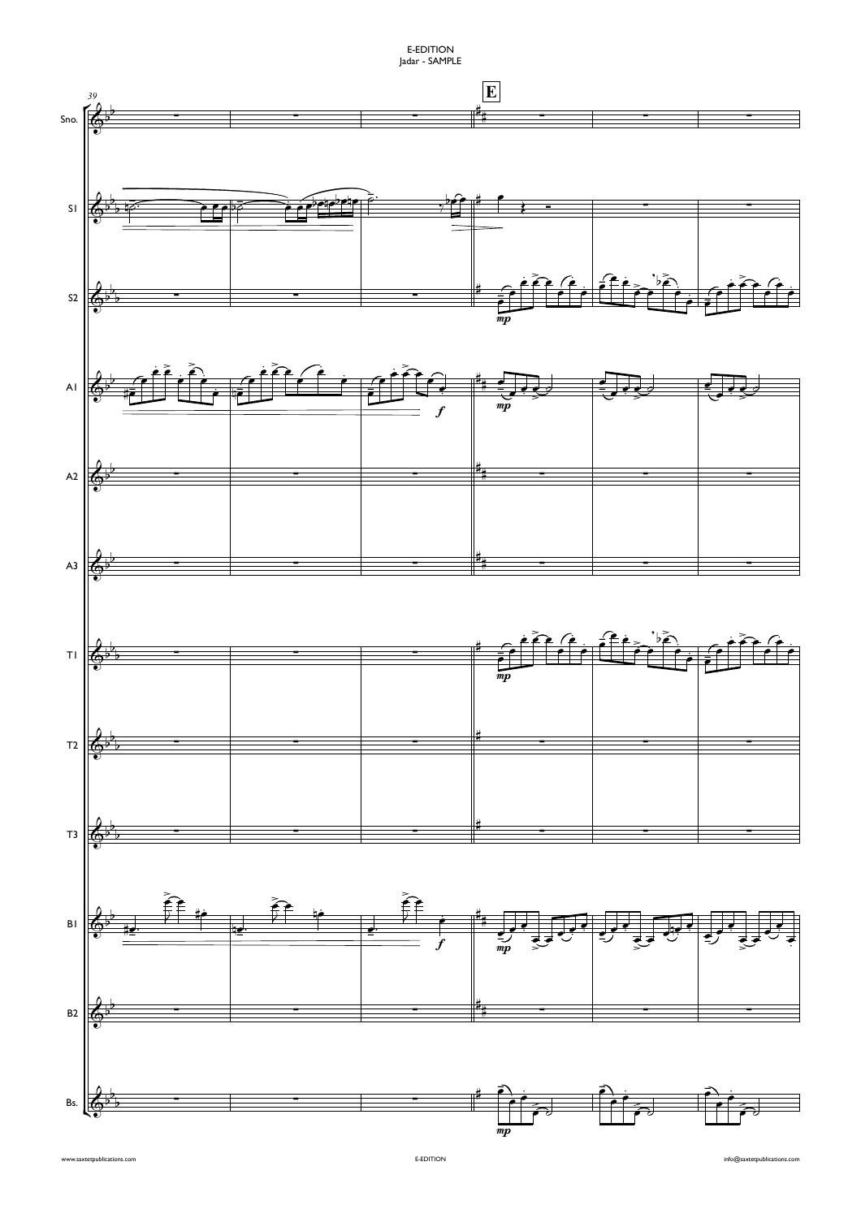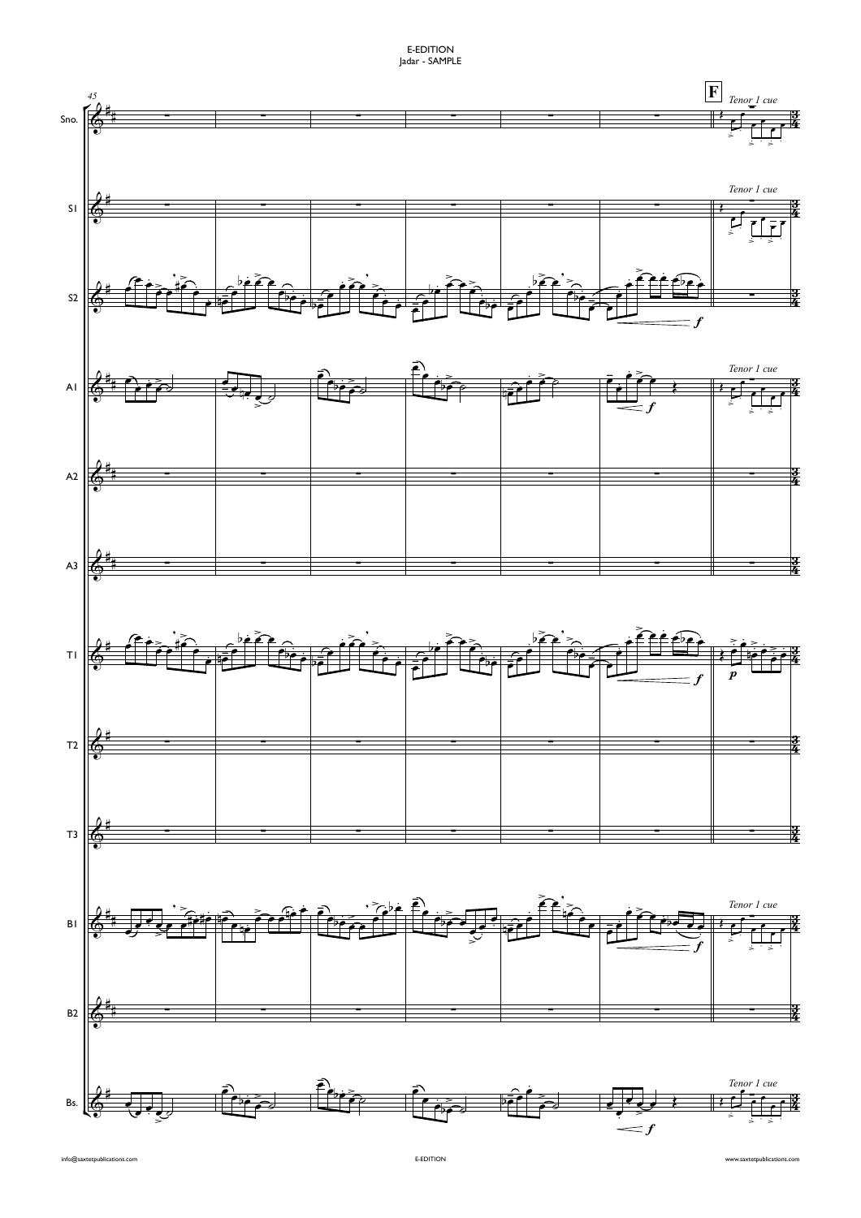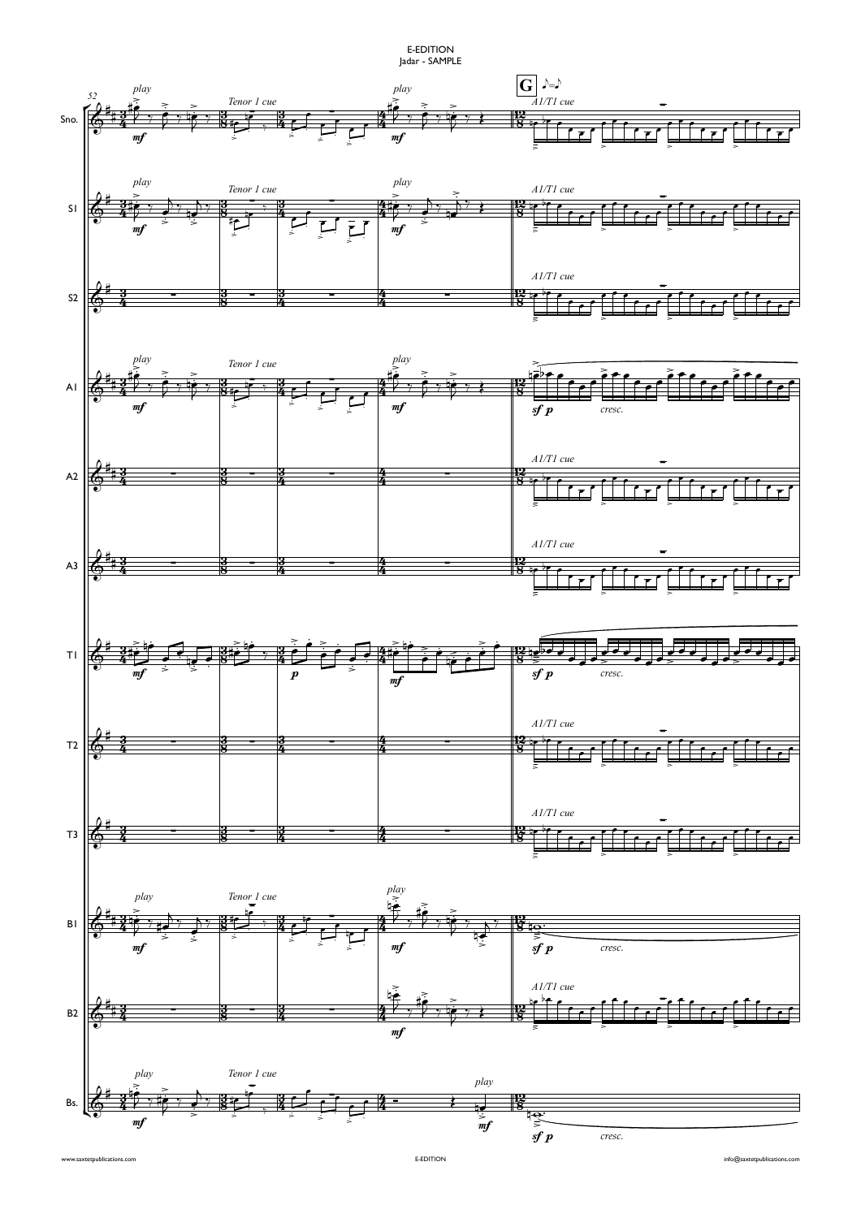

www.saxtetpublications.com info@saxtetpublications.com